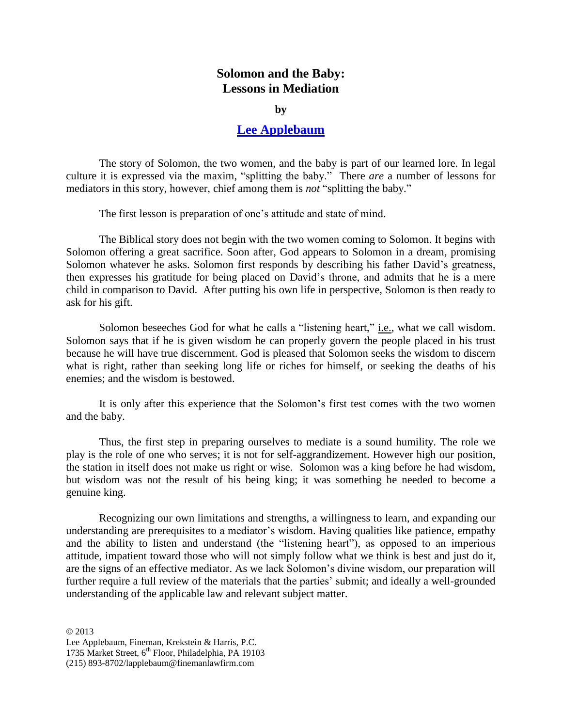## **Solomon and the Baby: Lessons in Mediation**

**by**

## **[Lee Applebaum](http://www.finemanlawfirm.com/fineman/index.cfm/attorneys/attorney-details/?pkid=92)**

The story of Solomon, the two women, and the baby is part of our learned lore. In legal culture it is expressed via the maxim, "splitting the baby." There *are* a number of lessons for mediators in this story, however, chief among them is *not* "splitting the baby."

The first lesson is preparation of one's attitude and state of mind.

The Biblical story does not begin with the two women coming to Solomon. It begins with Solomon offering a great sacrifice. Soon after, God appears to Solomon in a dream, promising Solomon whatever he asks. Solomon first responds by describing his father David's greatness, then expresses his gratitude for being placed on David's throne, and admits that he is a mere child in comparison to David. After putting his own life in perspective, Solomon is then ready to ask for his gift.

Solomon beseeches God for what he calls a "listening heart," *i.e.*, what we call wisdom. Solomon says that if he is given wisdom he can properly govern the people placed in his trust because he will have true discernment. God is pleased that Solomon seeks the wisdom to discern what is right, rather than seeking long life or riches for himself, or seeking the deaths of his enemies; and the wisdom is bestowed.

It is only after this experience that the Solomon's first test comes with the two women and the baby.

Thus, the first step in preparing ourselves to mediate is a sound humility. The role we play is the role of one who serves; it is not for self-aggrandizement. However high our position, the station in itself does not make us right or wise. Solomon was a king before he had wisdom, but wisdom was not the result of his being king; it was something he needed to become a genuine king.

Recognizing our own limitations and strengths, a willingness to learn, and expanding our understanding are prerequisites to a mediator's wisdom. Having qualities like patience, empathy and the ability to listen and understand (the "listening heart"), as opposed to an imperious attitude, impatient toward those who will not simply follow what we think is best and just do it, are the signs of an effective mediator. As we lack Solomon's divine wisdom, our preparation will further require a full review of the materials that the parties' submit; and ideally a well-grounded understanding of the applicable law and relevant subject matter.